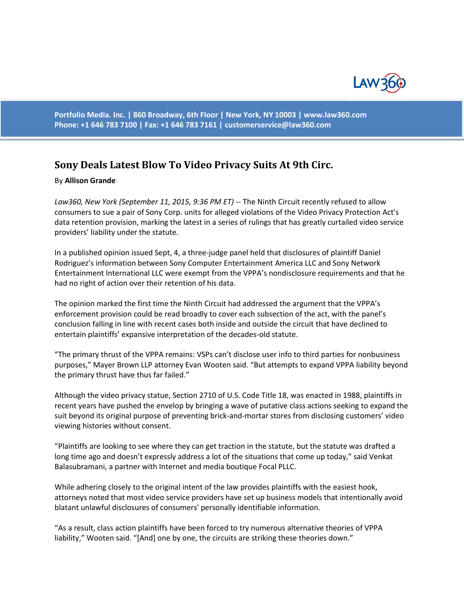

**Portfolio Media. Inc. | 860 Broadway, 6th Floor | New York, NY 10003 | www.law360.com Phone: +1 646 783 7100 | Fax: +1 646 783 7161 | [customerservice@law360.com](mailto:customerservice@law360.com)**

## **Sony Deals Latest Blow To Video Privacy Suits At 9th Circ.**

## By **Allison Grande**

*Law360, New York (September 11, 2015, 9:36 PM ET)* -- The Ninth Circuit recently refused to allow consumers to sue a pair of Sony Corp. units for alleged violations of the Video Privacy Protection Act's data retention provision, marking the latest in a series of rulings that has greatly curtailed video service providers' liability under the statute.

In a published opinion issued Sept, 4, a three-judge panel held that disclosures of plaintiff Daniel Rodriguez's information between Sony Computer Entertainment America LLC and Sony Network Entertainment International LLC were exempt from the VPPA's nondisclosure requirements and that he had no right of action over their retention of his data.

The opinion marked the first time the Ninth Circuit had addressed the argument that the VPPA's enforcement provision could be read broadly to cover each subsection of the act, with the panel's conclusion falling in line with recent cases both inside and outside the circuit that have declined to entertain plaintiffs' expansive interpretation of the decades-old statute.

"The primary thrust of the VPPA remains: VSPs can't disclose user info to third parties for nonbusiness purposes," Mayer Brown LLP attorney Evan Wooten said. "But attempts to expand VPPA liability beyond the primary thrust have thus far failed."

Although the video privacy statue, Section 2710 of U.S. Code Title 18, was enacted in 1988, plaintiffs in recent years have pushed the envelop by bringing a wave of putative class actions seeking to expand the suit beyond its original purpose of preventing brick-and-mortar stores from disclosing customers' video viewing histories without consent.

"Plaintiffs are looking to see where they can get traction in the statute, but the statute was drafted a long time ago and doesn't expressly address a lot of the situations that come up today," said Venkat Balasubramani, a partner with Internet and media boutique Focal PLLC.

While adhering closely to the original intent of the law provides plaintiffs with the easiest hook, attorneys noted that most video service providers have set up business models that intentionally avoid blatant unlawful disclosures of consumers' personally identifiable information.

"As a result, class action plaintiffs have been forced to try numerous alternative theories of VPPA liability," Wooten said. "[And] one by one, the circuits are striking these theories down."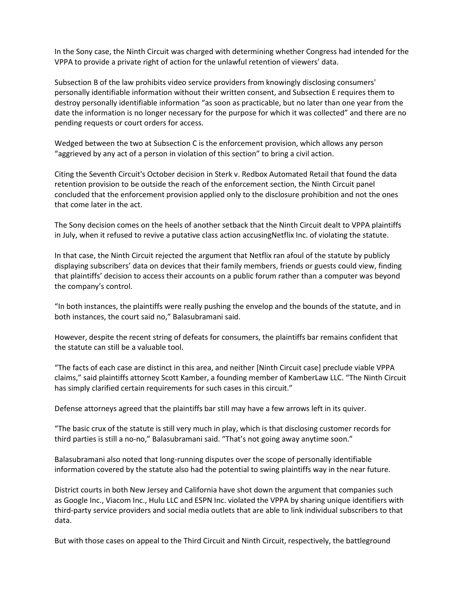In the Sony case, the Ninth Circuit was charged with determining whether Congress had intended for the VPPA to provide a private right of action for the unlawful retention of viewers' data.

Subsection B of the law prohibits video service providers from knowingly disclosing consumers' personally identifiable information without their written consent, and Subsection E requires them to destroy personally identifiable information "as soon as practicable, but no later than one year from the date the information is no longer necessary for the purpose for which it was collected" and there are no pending requests or court orders for access.

Wedged between the two at Subsection C is the enforcement provision, which allows any person "aggrieved by any act of a person in violation of this section" to bring a civil action.

Citing the Seventh Circuit's October decision in Sterk v. Redbox Automated Retail that found the data retention provision to be outside the reach of the enforcement section, the Ninth Circuit panel concluded that the enforcement provision applied only to the disclosure prohibition and not the ones that come later in the act.

The Sony decision comes on the heels of another setback that the Ninth Circuit dealt to VPPA plaintiffs in July, when it refused to revive a putative class action accusingNetflix Inc. of violating the statute.

In that case, the Ninth Circuit rejected the argument that Netflix ran afoul of the statute by publicly displaying subscribers' data on devices that their family members, friends or guests could view, finding that plaintiffs' decision to access their accounts on a public forum rather than a computer was beyond the company's control.

"In both instances, the plaintiffs were really pushing the envelop and the bounds of the statute, and in both instances, the court said no," Balasubramani said.

However, despite the recent string of defeats for consumers, the plaintiffs bar remains confident that the statute can still be a valuable tool.

"The facts of each case are distinct in this area, and neither [Ninth Circuit case] preclude viable VPPA claims," said plaintiffs attorney Scott Kamber, a founding member of KamberLaw LLC. "The Ninth Circuit has simply clarified certain requirements for such cases in this circuit."

Defense attorneys agreed that the plaintiffs bar still may have a few arrows left in its quiver.

"The basic crux of the statute is still very much in play, which is that disclosing customer records for third parties is still a no-no," Balasubramani said. "That's not going away anytime soon."

Balasubramani also noted that long-running disputes over the scope of personally identifiable information covered by the statute also had the potential to swing plaintiffs way in the near future.

District courts in both New Jersey and California have shot down the argument that companies such as Google Inc., Viacom Inc., Hulu LLC and ESPN Inc. violated the VPPA by sharing unique identifiers with third-party service providers and social media outlets that are able to link individual subscribers to that data.

But with those cases on appeal to the Third Circuit and Ninth Circuit, respectively, the battleground